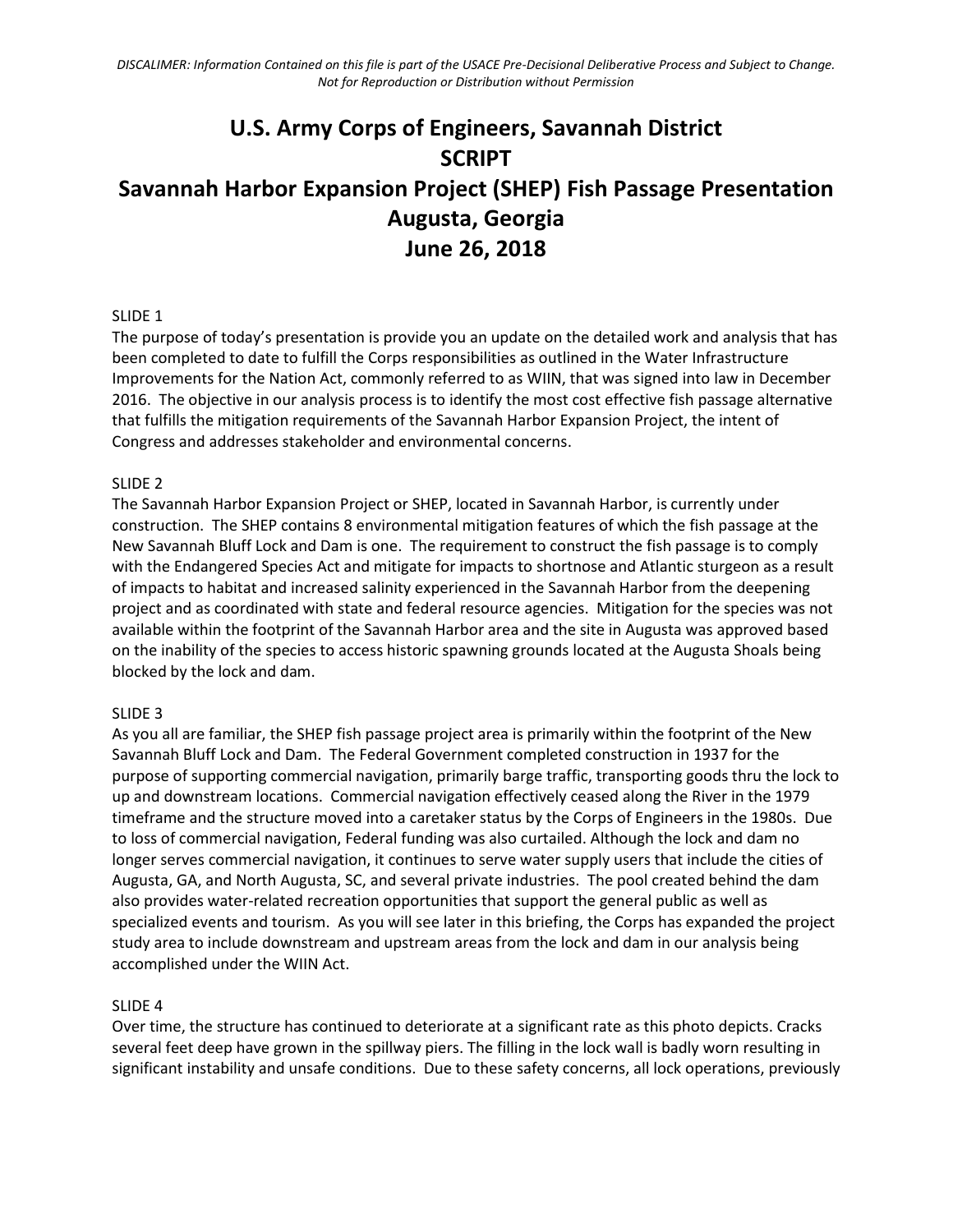# **U.S. Army Corps of Engineers, Savannah District SCRIPT Savannah Harbor Expansion Project (SHEP) Fish Passage Presentation Augusta, Georgia June 26, 2018**

### SLIDE 1

The purpose of today's presentation is provide you an update on the detailed work and analysis that has been completed to date to fulfill the Corps responsibilities as outlined in the Water Infrastructure Improvements for the Nation Act, commonly referred to as WIIN, that was signed into law in December 2016. The objective in our analysis process is to identify the most cost effective fish passage alternative that fulfills the mitigation requirements of the Savannah Harbor Expansion Project, the intent of Congress and addresses stakeholder and environmental concerns.

#### SLIDE 2

The Savannah Harbor Expansion Project or SHEP, located in Savannah Harbor, is currently under construction. The SHEP contains 8 environmental mitigation features of which the fish passage at the New Savannah Bluff Lock and Dam is one. The requirement to construct the fish passage is to comply with the Endangered Species Act and mitigate for impacts to shortnose and Atlantic sturgeon as a result of impacts to habitat and increased salinity experienced in the Savannah Harbor from the deepening project and as coordinated with state and federal resource agencies. Mitigation for the species was not available within the footprint of the Savannah Harbor area and the site in Augusta was approved based on the inability of the species to access historic spawning grounds located at the Augusta Shoals being blocked by the lock and dam.

#### SLIDE 3

As you all are familiar, the SHEP fish passage project area is primarily within the footprint of the New Savannah Bluff Lock and Dam. The Federal Government completed construction in 1937 for the purpose of supporting commercial navigation, primarily barge traffic, transporting goods thru the lock to up and downstream locations. Commercial navigation effectively ceased along the River in the 1979 timeframe and the structure moved into a caretaker status by the Corps of Engineers in the 1980s. Due to loss of commercial navigation, Federal funding was also curtailed. Although the lock and dam no longer serves commercial navigation, it continues to serve water supply users that include the cities of Augusta, GA, and North Augusta, SC, and several private industries. The pool created behind the dam also provides water-related recreation opportunities that support the general public as well as specialized events and tourism. As you will see later in this briefing, the Corps has expanded the project study area to include downstream and upstream areas from the lock and dam in our analysis being accomplished under the WIIN Act.

#### SLIDE 4

Over time, the structure has continued to deteriorate at a significant rate as this photo depicts. Cracks several feet deep have grown in the spillway piers. The filling in the lock wall is badly worn resulting in significant instability and unsafe conditions. Due to these safety concerns, all lock operations, previously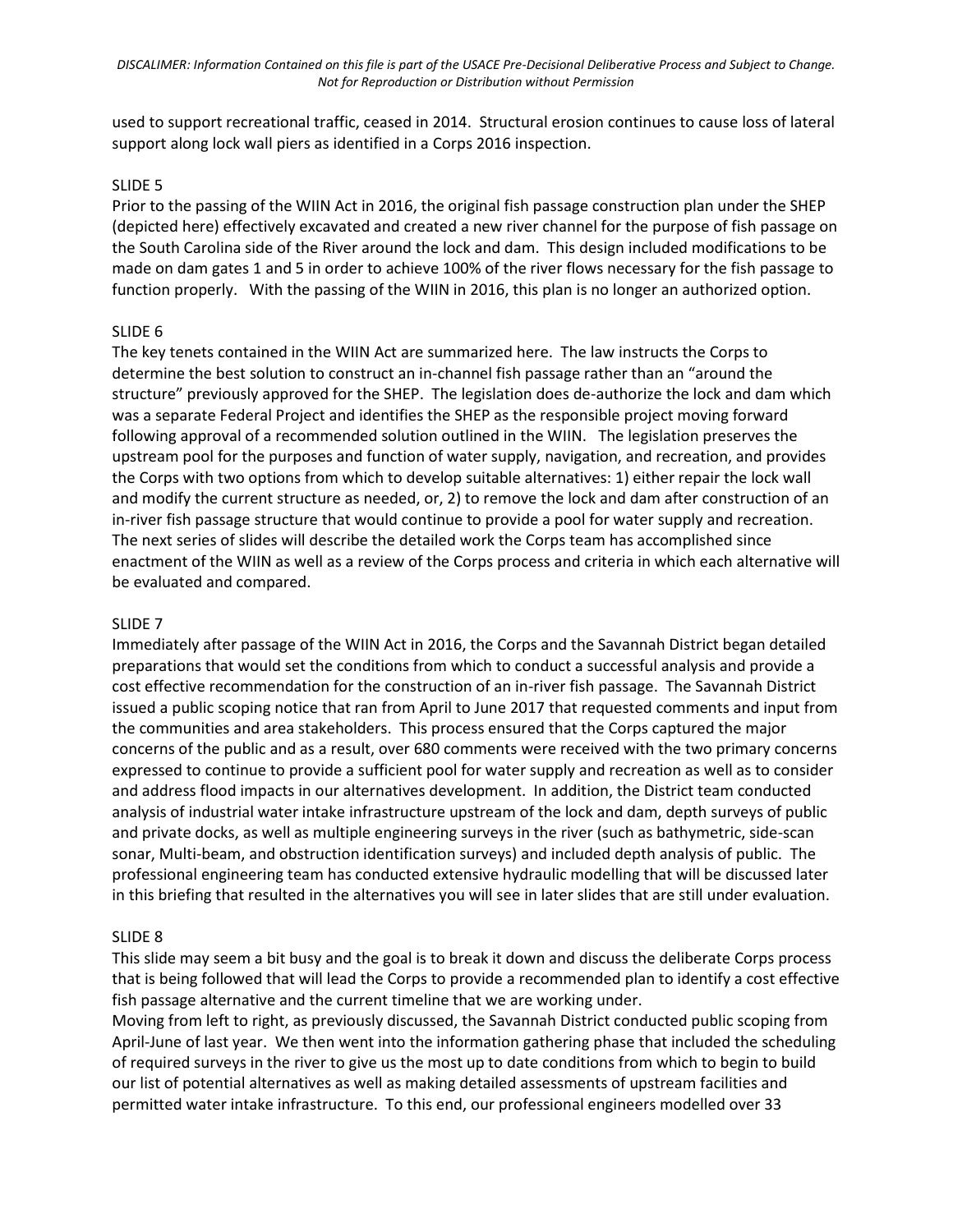used to support recreational traffic, ceased in 2014. Structural erosion continues to cause loss of lateral support along lock wall piers as identified in a Corps 2016 inspection.

#### SLIDE 5

Prior to the passing of the WIIN Act in 2016, the original fish passage construction plan under the SHEP (depicted here) effectively excavated and created a new river channel for the purpose of fish passage on the South Carolina side of the River around the lock and dam. This design included modifications to be made on dam gates 1 and 5 in order to achieve 100% of the river flows necessary for the fish passage to function properly. With the passing of the WIIN in 2016, this plan is no longer an authorized option.

#### SLIDE 6

The key tenets contained in the WIIN Act are summarized here. The law instructs the Corps to determine the best solution to construct an in-channel fish passage rather than an "around the structure" previously approved for the SHEP. The legislation does de-authorize the lock and dam which was a separate Federal Project and identifies the SHEP as the responsible project moving forward following approval of a recommended solution outlined in the WIIN. The legislation preserves the upstream pool for the purposes and function of water supply, navigation, and recreation, and provides the Corps with two options from which to develop suitable alternatives: 1) either repair the lock wall and modify the current structure as needed, or, 2) to remove the lock and dam after construction of an in-river fish passage structure that would continue to provide a pool for water supply and recreation. The next series of slides will describe the detailed work the Corps team has accomplished since enactment of the WIIN as well as a review of the Corps process and criteria in which each alternative will be evaluated and compared.

#### SLIDE 7

Immediately after passage of the WIIN Act in 2016, the Corps and the Savannah District began detailed preparations that would set the conditions from which to conduct a successful analysis and provide a cost effective recommendation for the construction of an in-river fish passage. The Savannah District issued a public scoping notice that ran from April to June 2017 that requested comments and input from the communities and area stakeholders. This process ensured that the Corps captured the major concerns of the public and as a result, over 680 comments were received with the two primary concerns expressed to continue to provide a sufficient pool for water supply and recreation as well as to consider and address flood impacts in our alternatives development. In addition, the District team conducted analysis of industrial water intake infrastructure upstream of the lock and dam, depth surveys of public and private docks, as well as multiple engineering surveys in the river (such as bathymetric, side-scan sonar, Multi-beam, and obstruction identification surveys) and included depth analysis of public. The professional engineering team has conducted extensive hydraulic modelling that will be discussed later in this briefing that resulted in the alternatives you will see in later slides that are still under evaluation.

#### SLIDE 8

This slide may seem a bit busy and the goal is to break it down and discuss the deliberate Corps process that is being followed that will lead the Corps to provide a recommended plan to identify a cost effective fish passage alternative and the current timeline that we are working under.

Moving from left to right, as previously discussed, the Savannah District conducted public scoping from April-June of last year. We then went into the information gathering phase that included the scheduling of required surveys in the river to give us the most up to date conditions from which to begin to build our list of potential alternatives as well as making detailed assessments of upstream facilities and permitted water intake infrastructure. To this end, our professional engineers modelled over 33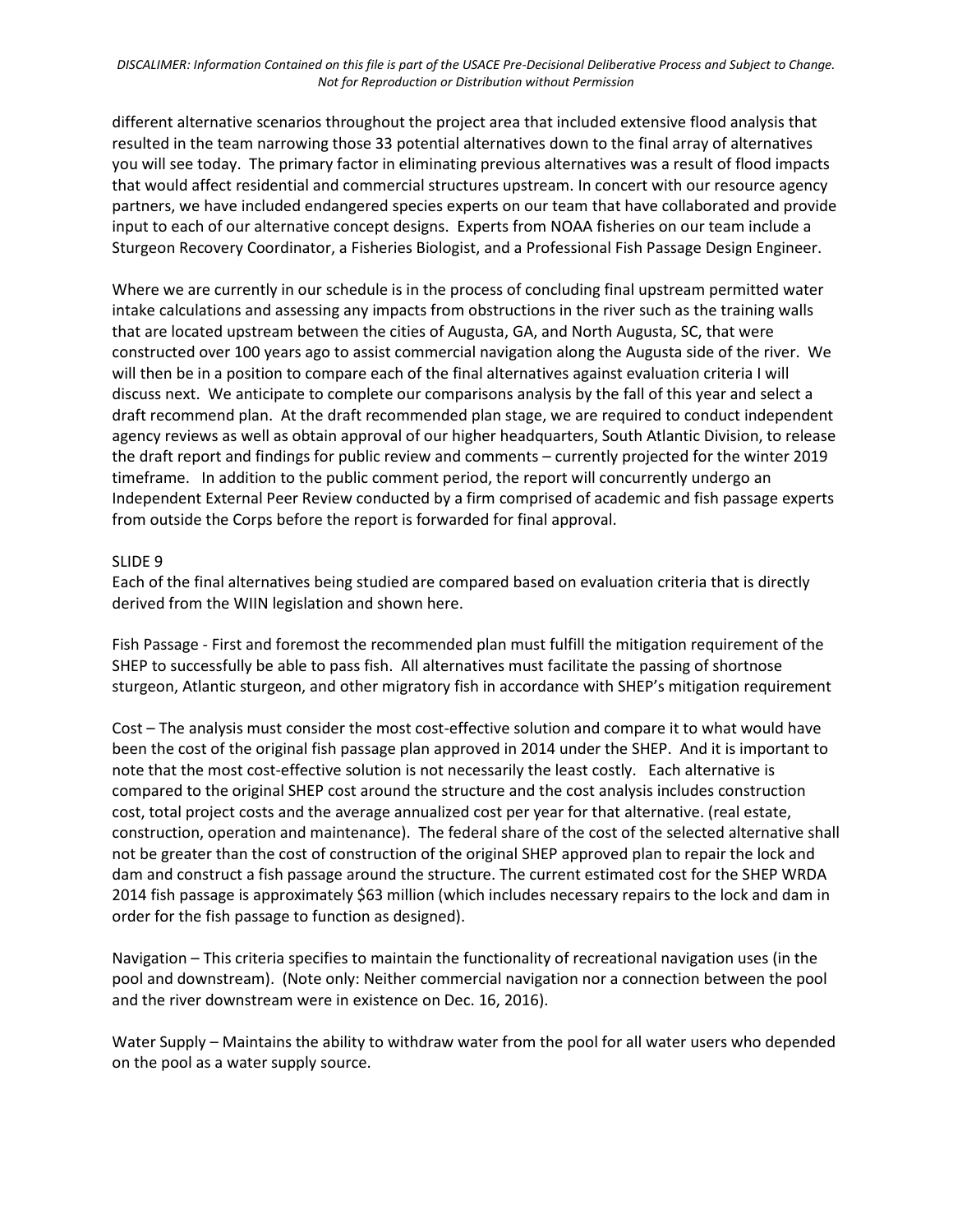*DISCALIMER: Information Contained on this file is part of the USACE Pre-Decisional Deliberative Process and Subject to Change. Not for Reproduction or Distribution without Permission*

different alternative scenarios throughout the project area that included extensive flood analysis that resulted in the team narrowing those 33 potential alternatives down to the final array of alternatives you will see today. The primary factor in eliminating previous alternatives was a result of flood impacts that would affect residential and commercial structures upstream. In concert with our resource agency partners, we have included endangered species experts on our team that have collaborated and provide input to each of our alternative concept designs. Experts from NOAA fisheries on our team include a Sturgeon Recovery Coordinator, a Fisheries Biologist, and a Professional Fish Passage Design Engineer.

Where we are currently in our schedule is in the process of concluding final upstream permitted water intake calculations and assessing any impacts from obstructions in the river such as the training walls that are located upstream between the cities of Augusta, GA, and North Augusta, SC, that were constructed over 100 years ago to assist commercial navigation along the Augusta side of the river. We will then be in a position to compare each of the final alternatives against evaluation criteria I will discuss next. We anticipate to complete our comparisons analysis by the fall of this year and select a draft recommend plan. At the draft recommended plan stage, we are required to conduct independent agency reviews as well as obtain approval of our higher headquarters, South Atlantic Division, to release the draft report and findings for public review and comments – currently projected for the winter 2019 timeframe. In addition to the public comment period, the report will concurrently undergo an Independent External Peer Review conducted by a firm comprised of academic and fish passage experts from outside the Corps before the report is forwarded for final approval.

#### SLIDE 9

Each of the final alternatives being studied are compared based on evaluation criteria that is directly derived from the WIIN legislation and shown here.

Fish Passage - First and foremost the recommended plan must fulfill the mitigation requirement of the SHEP to successfully be able to pass fish. All alternatives must facilitate the passing of shortnose sturgeon, Atlantic sturgeon, and other migratory fish in accordance with SHEP's mitigation requirement

Cost – The analysis must consider the most cost-effective solution and compare it to what would have been the cost of the original fish passage plan approved in 2014 under the SHEP. And it is important to note that the most cost-effective solution is not necessarily the least costly. Each alternative is compared to the original SHEP cost around the structure and the cost analysis includes construction cost, total project costs and the average annualized cost per year for that alternative. (real estate, construction, operation and maintenance). The federal share of the cost of the selected alternative shall not be greater than the cost of construction of the original SHEP approved plan to repair the lock and dam and construct a fish passage around the structure. The current estimated cost for the SHEP WRDA 2014 fish passage is approximately \$63 million (which includes necessary repairs to the lock and dam in order for the fish passage to function as designed).

Navigation – This criteria specifies to maintain the functionality of recreational navigation uses (in the pool and downstream). (Note only: Neither commercial navigation nor a connection between the pool and the river downstream were in existence on Dec. 16, 2016).

Water Supply – Maintains the ability to withdraw water from the pool for all water users who depended on the pool as a water supply source.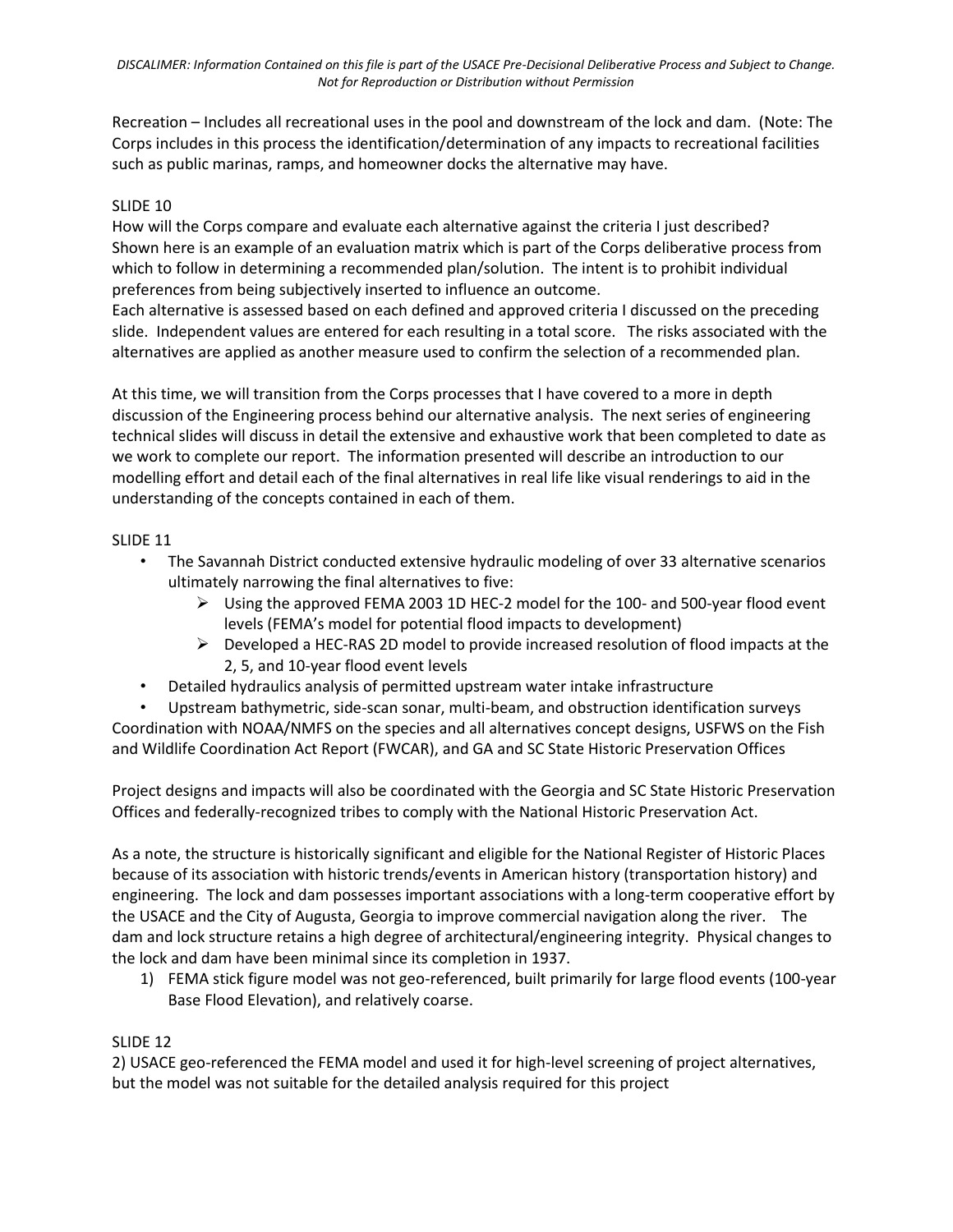Recreation – Includes all recreational uses in the pool and downstream of the lock and dam. (Note: The Corps includes in this process the identification/determination of any impacts to recreational facilities such as public marinas, ramps, and homeowner docks the alternative may have.

# SLIDE 10

How will the Corps compare and evaluate each alternative against the criteria I just described? Shown here is an example of an evaluation matrix which is part of the Corps deliberative process from which to follow in determining a recommended plan/solution. The intent is to prohibit individual preferences from being subjectively inserted to influence an outcome.

Each alternative is assessed based on each defined and approved criteria I discussed on the preceding slide. Independent values are entered for each resulting in a total score. The risks associated with the alternatives are applied as another measure used to confirm the selection of a recommended plan.

At this time, we will transition from the Corps processes that I have covered to a more in depth discussion of the Engineering process behind our alternative analysis. The next series of engineering technical slides will discuss in detail the extensive and exhaustive work that been completed to date as we work to complete our report. The information presented will describe an introduction to our modelling effort and detail each of the final alternatives in real life like visual renderings to aid in the understanding of the concepts contained in each of them.

# SLIDE 11

- The Savannah District conducted extensive hydraulic modeling of over 33 alternative scenarios ultimately narrowing the final alternatives to five:
	- $\triangleright$  Using the approved FEMA 2003 1D HEC-2 model for the 100- and 500-year flood event levels (FEMA's model for potential flood impacts to development)
	- $\triangleright$  Developed a HEC-RAS 2D model to provide increased resolution of flood impacts at the 2, 5, and 10-year flood event levels
- Detailed hydraulics analysis of permitted upstream water intake infrastructure

• Upstream bathymetric, side-scan sonar, multi-beam, and obstruction identification surveys Coordination with NOAA/NMFS on the species and all alternatives concept designs, USFWS on the Fish and Wildlife Coordination Act Report (FWCAR), and GA and SC State Historic Preservation Offices

Project designs and impacts will also be coordinated with the Georgia and SC State Historic Preservation Offices and federally-recognized tribes to comply with the National Historic Preservation Act.

As a note, the structure is historically significant and eligible for the National Register of Historic Places because of its association with historic trends/events in American history (transportation history) and engineering. The lock and dam possesses important associations with a long-term cooperative effort by the USACE and the City of Augusta, Georgia to improve commercial navigation along the river. The dam and lock structure retains a high degree of architectural/engineering integrity. Physical changes to the lock and dam have been minimal since its completion in 1937.

1) FEMA stick figure model was not geo-referenced, built primarily for large flood events (100-year Base Flood Elevation), and relatively coarse.

# SLIDE 12

2) USACE geo-referenced the FEMA model and used it for high-level screening of project alternatives, but the model was not suitable for the detailed analysis required for this project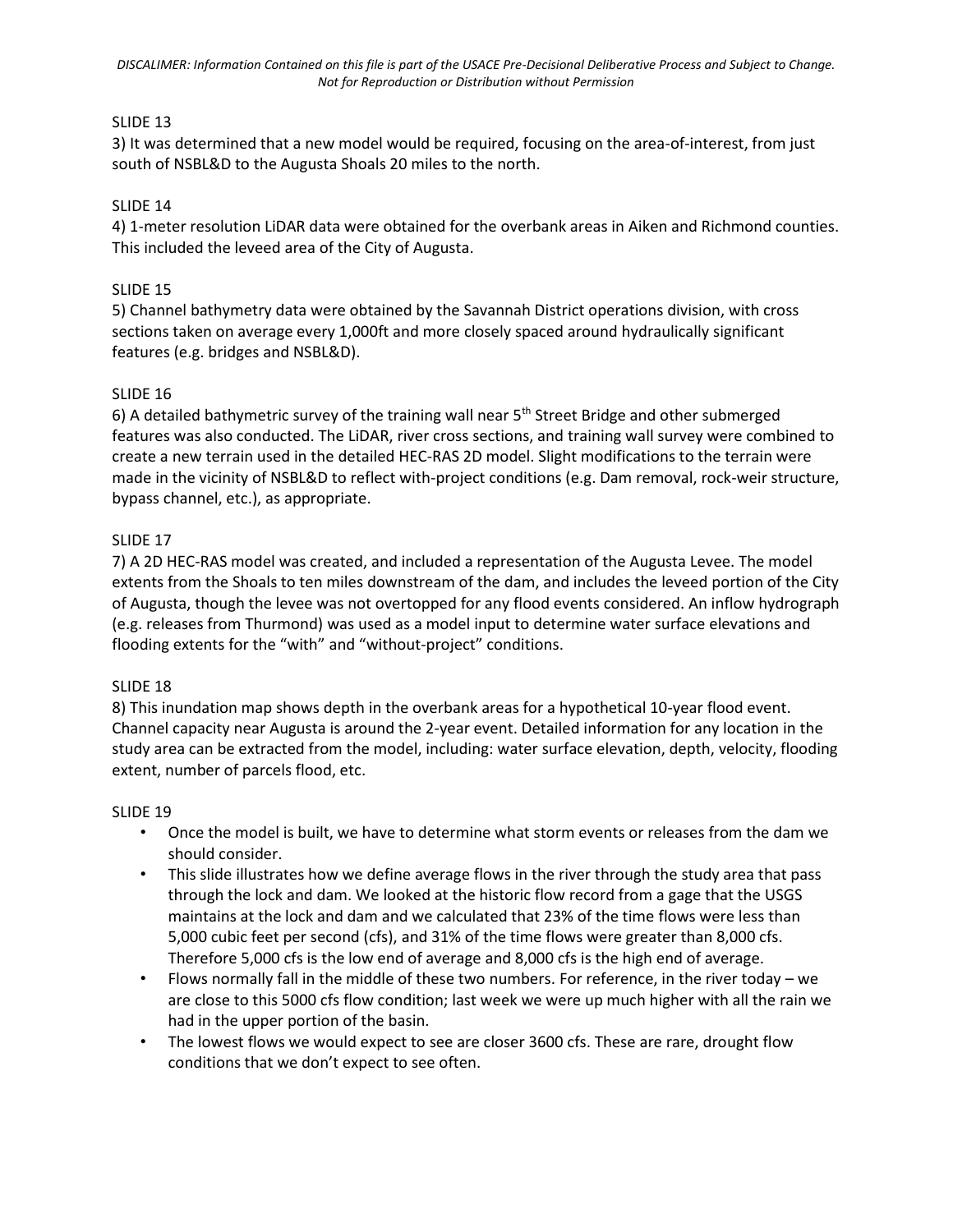## SLIDE 13

3) It was determined that a new model would be required, focusing on the area-of-interest, from just south of NSBL&D to the Augusta Shoals 20 miles to the north.

## SLIDE 14

4) 1-meter resolution LiDAR data were obtained for the overbank areas in Aiken and Richmond counties. This included the leveed area of the City of Augusta.

### SLIDE 15

5) Channel bathymetry data were obtained by the Savannah District operations division, with cross sections taken on average every 1,000ft and more closely spaced around hydraulically significant features (e.g. bridges and NSBL&D).

## SLIDE 16

6) A detailed bathymetric survey of the training wall near 5th Street Bridge and other submerged features was also conducted. The LiDAR, river cross sections, and training wall survey were combined to create a new terrain used in the detailed HEC-RAS 2D model. Slight modifications to the terrain were made in the vicinity of NSBL&D to reflect with-project conditions (e.g. Dam removal, rock-weir structure, bypass channel, etc.), as appropriate.

## SLIDE 17

7) A 2D HEC-RAS model was created, and included a representation of the Augusta Levee. The model extents from the Shoals to ten miles downstream of the dam, and includes the leveed portion of the City of Augusta, though the levee was not overtopped for any flood events considered. An inflow hydrograph (e.g. releases from Thurmond) was used as a model input to determine water surface elevations and flooding extents for the "with" and "without-project" conditions.

#### SLIDE 18

8) This inundation map shows depth in the overbank areas for a hypothetical 10-year flood event. Channel capacity near Augusta is around the 2-year event. Detailed information for any location in the study area can be extracted from the model, including: water surface elevation, depth, velocity, flooding extent, number of parcels flood, etc.

#### SLIDE 19

- Once the model is built, we have to determine what storm events or releases from the dam we should consider.
- This slide illustrates how we define average flows in the river through the study area that pass through the lock and dam. We looked at the historic flow record from a gage that the USGS maintains at the lock and dam and we calculated that 23% of the time flows were less than 5,000 cubic feet per second (cfs), and 31% of the time flows were greater than 8,000 cfs. Therefore 5,000 cfs is the low end of average and 8,000 cfs is the high end of average.
- Flows normally fall in the middle of these two numbers. For reference, in the river today we are close to this 5000 cfs flow condition; last week we were up much higher with all the rain we had in the upper portion of the basin.
- The lowest flows we would expect to see are closer 3600 cfs. These are rare, drought flow conditions that we don't expect to see often.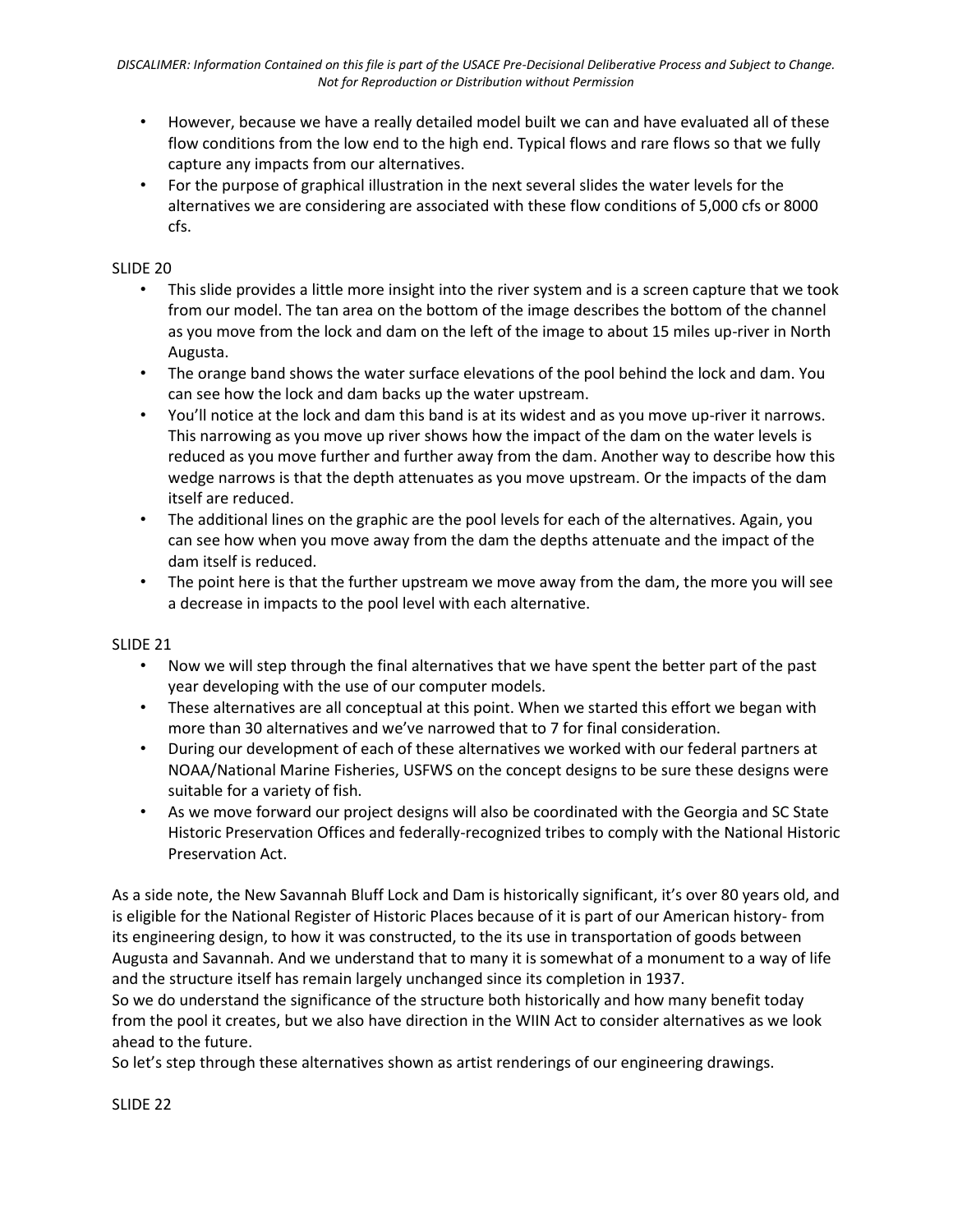- However, because we have a really detailed model built we can and have evaluated all of these flow conditions from the low end to the high end. Typical flows and rare flows so that we fully capture any impacts from our alternatives.
- For the purpose of graphical illustration in the next several slides the water levels for the alternatives we are considering are associated with these flow conditions of 5,000 cfs or 8000 cfs.

## SLIDE 20

- This slide provides a little more insight into the river system and is a screen capture that we took from our model. The tan area on the bottom of the image describes the bottom of the channel as you move from the lock and dam on the left of the image to about 15 miles up-river in North Augusta.
- The orange band shows the water surface elevations of the pool behind the lock and dam. You can see how the lock and dam backs up the water upstream.
- You'll notice at the lock and dam this band is at its widest and as you move up-river it narrows. This narrowing as you move up river shows how the impact of the dam on the water levels is reduced as you move further and further away from the dam. Another way to describe how this wedge narrows is that the depth attenuates as you move upstream. Or the impacts of the dam itself are reduced.
- The additional lines on the graphic are the pool levels for each of the alternatives. Again, you can see how when you move away from the dam the depths attenuate and the impact of the dam itself is reduced.
- The point here is that the further upstream we move away from the dam, the more you will see a decrease in impacts to the pool level with each alternative.

#### SLIDE 21

- Now we will step through the final alternatives that we have spent the better part of the past year developing with the use of our computer models.
- These alternatives are all conceptual at this point. When we started this effort we began with more than 30 alternatives and we've narrowed that to 7 for final consideration.
- During our development of each of these alternatives we worked with our federal partners at NOAA/National Marine Fisheries, USFWS on the concept designs to be sure these designs were suitable for a variety of fish.
- As we move forward our project designs will also be coordinated with the Georgia and SC State Historic Preservation Offices and federally-recognized tribes to comply with the National Historic Preservation Act.

As a side note, the New Savannah Bluff Lock and Dam is historically significant, it's over 80 years old, and is eligible for the National Register of Historic Places because of it is part of our American history- from its engineering design, to how it was constructed, to the its use in transportation of goods between Augusta and Savannah. And we understand that to many it is somewhat of a monument to a way of life and the structure itself has remain largely unchanged since its completion in 1937.

So we do understand the significance of the structure both historically and how many benefit today from the pool it creates, but we also have direction in the WIIN Act to consider alternatives as we look ahead to the future.

So let's step through these alternatives shown as artist renderings of our engineering drawings.

SLIDE 22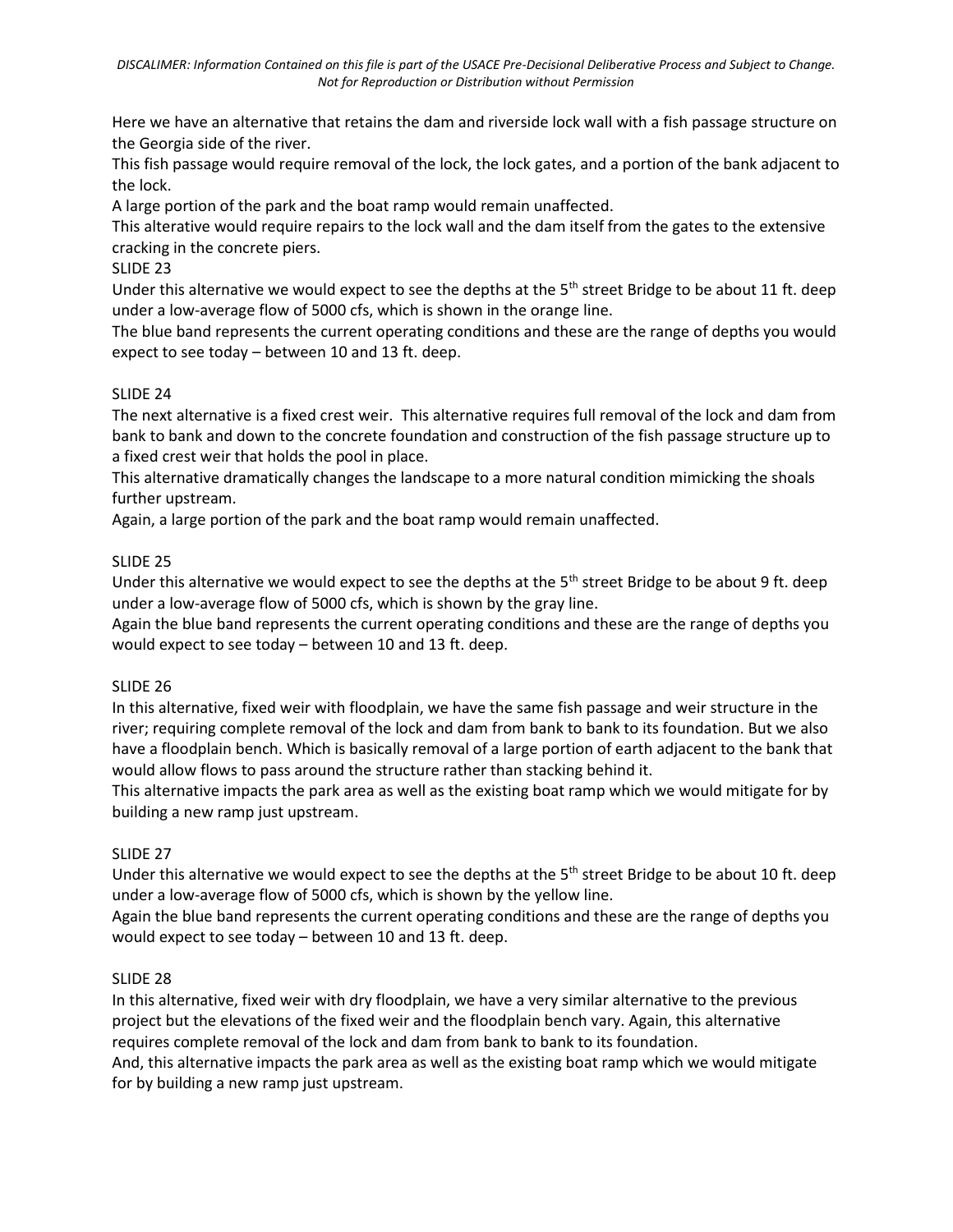Here we have an alternative that retains the dam and riverside lock wall with a fish passage structure on the Georgia side of the river.

This fish passage would require removal of the lock, the lock gates, and a portion of the bank adjacent to the lock.

A large portion of the park and the boat ramp would remain unaffected.

This alterative would require repairs to the lock wall and the dam itself from the gates to the extensive cracking in the concrete piers.

# SLIDE 23

Under this alternative we would expect to see the depths at the  $5<sup>th</sup>$  street Bridge to be about 11 ft. deep under a low-average flow of 5000 cfs, which is shown in the orange line.

The blue band represents the current operating conditions and these are the range of depths you would expect to see today – between 10 and 13 ft. deep.

## SLIDE 24

The next alternative is a fixed crest weir. This alternative requires full removal of the lock and dam from bank to bank and down to the concrete foundation and construction of the fish passage structure up to a fixed crest weir that holds the pool in place.

This alternative dramatically changes the landscape to a more natural condition mimicking the shoals further upstream.

Again, a large portion of the park and the boat ramp would remain unaffected.

## SLIDE 25

Under this alternative we would expect to see the depths at the  $5<sup>th</sup>$  street Bridge to be about 9 ft. deep under a low-average flow of 5000 cfs, which is shown by the gray line.

Again the blue band represents the current operating conditions and these are the range of depths you would expect to see today – between 10 and 13 ft. deep.

#### SLIDE 26

In this alternative, fixed weir with floodplain, we have the same fish passage and weir structure in the river; requiring complete removal of the lock and dam from bank to bank to its foundation. But we also have a floodplain bench. Which is basically removal of a large portion of earth adjacent to the bank that would allow flows to pass around the structure rather than stacking behind it.

This alternative impacts the park area as well as the existing boat ramp which we would mitigate for by building a new ramp just upstream.

# SLIDE 27

Under this alternative we would expect to see the depths at the  $5<sup>th</sup>$  street Bridge to be about 10 ft. deep under a low-average flow of 5000 cfs, which is shown by the yellow line.

Again the blue band represents the current operating conditions and these are the range of depths you would expect to see today – between 10 and 13 ft. deep.

# SLIDE 28

In this alternative, fixed weir with dry floodplain, we have a very similar alternative to the previous project but the elevations of the fixed weir and the floodplain bench vary. Again, this alternative requires complete removal of the lock and dam from bank to bank to its foundation.

And, this alternative impacts the park area as well as the existing boat ramp which we would mitigate for by building a new ramp just upstream.